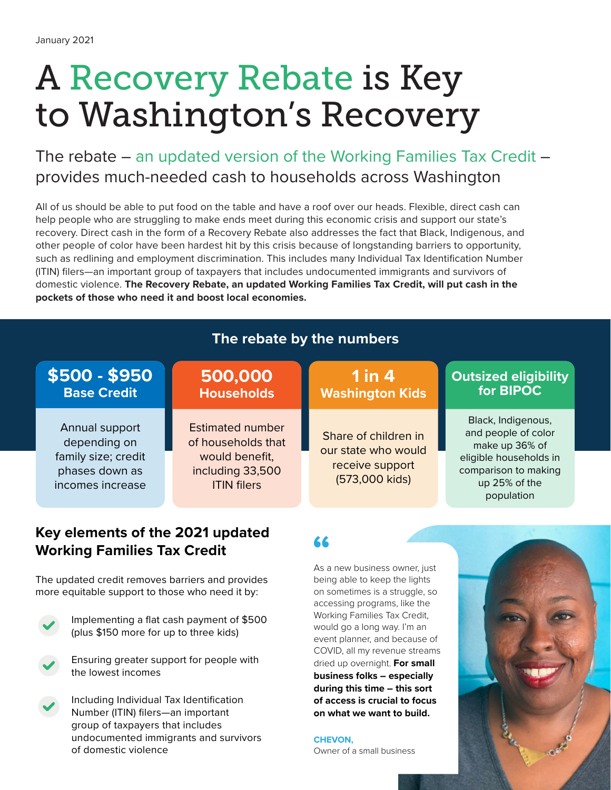# A Recovery Rebate is Key to Washington's Recovery

The rebate – an updated version of the Working Families Tax Credit – provides much-needed cash to households across Washington

All of us should be able to put food on the table and have a roof over our heads. Flexible, direct cash can help people who are struggling to make ends meet during this economic crisis and support our state's recovery. Direct cash in the form of a Recovery Rebate also addresses the fact that Black, Indigenous, and other people of color have been hardest hit by this crisis because of longstanding barriers to opportunity, such as redlining and employment discrimination. This includes many Individual Tax Identification Number (ITIN) filers—an important group of taxpayers that includes undocumented immigrants and survivors of domestic violence. **The Recovery Rebate, an updated Working Families Tax Credit, will put cash in the pockets of those who need it and boost local economies.**

## **The rebate by the numbers**

### Annual support depending on family size; credit phases down as incomes increase **\$500 - \$950 Base Credit** Estimated number of households that would benefit, including 33,500 ITIN filers **500,000 Households** Black, Indigenous, and people of color make up 36% of eligible households in comparison to making up 25% of the population **Outsized eligibility for BIPOC** Share of children in our state who would receive support (573,000 kids) **1 in 4 Washington Kids**

### **" Key elements of the 2021 updated Working Families Tax Credit**

The updated credit removes barriers and provides more equitable support to those who need it by:



 Implementing a flat cash payment of \$500 (plus \$150 more for up to three kids)



 Ensuring greater support for people with the lowest incomes



Including Individual Tax Identification Number (ITIN) filers—an important group of taxpayers that includes undocumented immigrants and survivors of domestic violence

As a new business owner, just being able to keep the lights on sometimes is a struggle, so accessing programs, like the Working Families Tax Credit, would go a long way. I'm an event planner, and because of COVID, all my revenue streams dried up overnight. **For small business folks – especially during this time – this sort of access is crucial to focus on what we want to build.**

**CHEVON,**

Owner of a small business